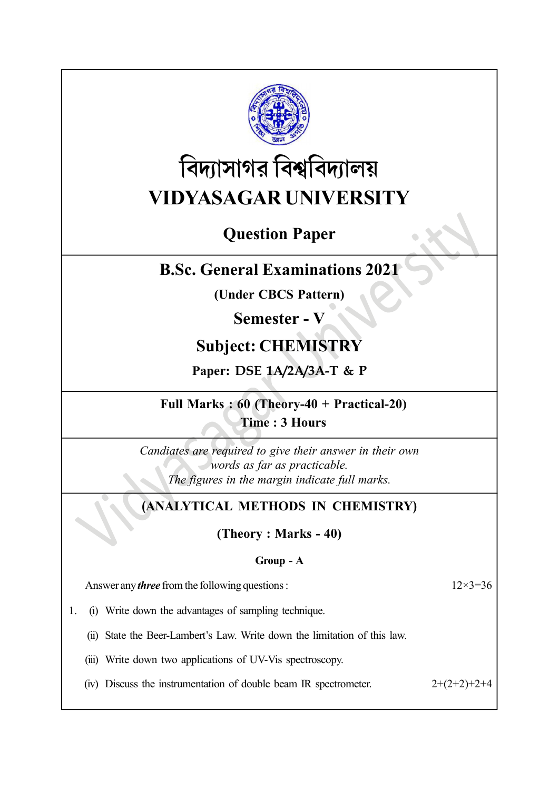

# বিদ্যাসাগর বিশ্ববিদ্যালয় VIDYASAGAR UNIVERSITY

# Question Paper

# B.Sc. General Examinations 2021

(Under CBCS Pattern)

# Semester - V

# Subject: CHEMISTRY

# Paper: DSE 1A/2A/3A-T & P

### Full Marks : 60 (Theory-40 + Practical-20) Time : 3 Hours

Candiates are required to give their answer in their own words as far as practicable. The figures in the margin indicate full marks.

# (ANALYTICAL METHODS IN CHEMISTRY)

(Theory : Marks - 40)

### Group - A

Answer any *three* from the following questions :  $12 \times 3 = 36$ 

1. (i) Write down the advantages of sampling technique.

(ii) State the Beer-Lambert's Law. Write down the limitation of this law.

(iii) Write down two applications of UV-Vis spectroscopy.

(iv) Discuss the instrumentation of double beam IR spectrometer.  $2+(2+2)+2+4$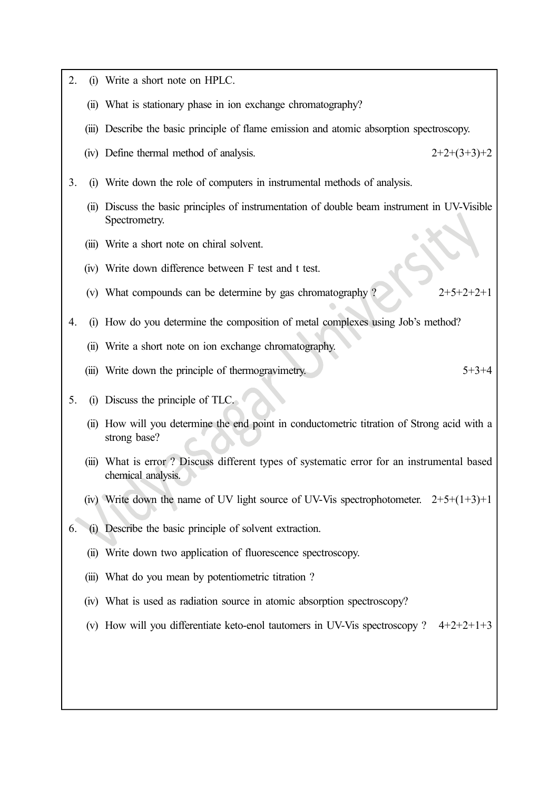2. (i) Write a short note on HPLC. (ii) What is stationary phase in ion exchange chromatography? (iii) Describe the basic principle of flame emission and atomic absorption spectroscopy. (iv) Define thermal method of analysis.  $2+2+(3+3)+2$ 3. (i) Write down the role of computers in instrumental methods of analysis. (ii) Discuss the basic principles of instrumentation of double beam instrument in UV-Visible Spectrometry. (iii) Write a short note on chiral solvent. (iv) Write down difference between F test and t test. (v) What compounds can be determine by gas chromatography ?  $2+5+2+2+1$ 4. (i) How do you determine the composition of metal complexes using Job's method? (ii) Write a short note on ion exchange chromatography. (iii) Write down the principle of thermogravimetry.  $5+3+4$ 5. (i) Discuss the principle of TLC. (ii) How will you determine the end point in conductometric titration of Strong acid with a strong base? (iii) What is error ? Discuss different types of systematic error for an instrumental based chemical analysis. (iv) Write down the name of UV light source of UV-Vis spectrophotometer.  $2+5+(1+3)+1$ 6. (i) Describe the basic principle of solvent extraction. (ii) Write down two application of fluorescence spectroscopy. (iii) What do you mean by potentiometric titration ? (iv) What is used as radiation source in atomic absorption spectroscopy? (v) How will you differentiate keto-enol tautomers in UV-Vis spectroscopy ?  $4+2+2+1+3$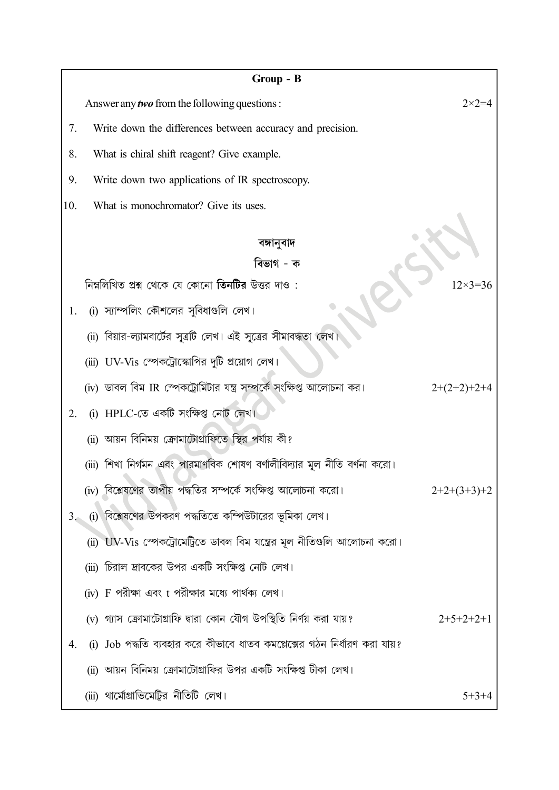|     | Group - B                                                                 |                  |
|-----|---------------------------------------------------------------------------|------------------|
|     | Answer any <i>two</i> from the following questions :                      | $2 \times 2 = 4$ |
| 7.  | Write down the differences between accuracy and precision.                |                  |
| 8.  | What is chiral shift reagent? Give example.                               |                  |
| 9.  | Write down two applications of IR spectroscopy.                           |                  |
| 10. | What is monochromator? Give its uses.                                     |                  |
|     |                                                                           |                  |
|     | বঙ্গানুবাদ<br>বিভাগ - ক                                                   |                  |
|     | নিম্নলিখিত প্রশ্ন থেকে যে কোনো <b>তিনটির</b> উত্তর দাও :                  | $12\times3=36$   |
| 1.  | (i) স্যাম্পলিং কৌশলের সুবিধাগুলি লেখ।                                     |                  |
|     | (ii) বিয়ার-ল্যামবার্টের সূত্রটি লেখ। এই সূত্রের সীমাবদ্ধতা লেখ           |                  |
|     | (iii) UV-Vis স্পেকট্রোস্কোপির দুটি প্রয়োগ লেখ।                           |                  |
|     | (iv) ডাবল বিম IR স্পেকট্রোমিটার যন্ত্র সম্পর্কে সংক্ষিপ্ত আলোচনা কর।      | $2+(2+2)+2+4$    |
| 2.  | HPLC-তে একটি সংক্ষিপ্ত নোট লেখ।                                           |                  |
|     | (ii) আয়ন বিনিময় ক্রোমাটোগ্রাফিতে স্থির পর্যায় কী?                      |                  |
|     | (iii) শিখা নির্গমন এবং পারমাণবিক শোষণ বর্ণালীবিদ্যার মূল নীতি বর্ণনা করো। |                  |
|     | (iv) বিশ্লেষণের তাপীয় পদ্ধতির সম্পর্কে সংক্ষিপ্ত আলোচনা করো।             | $2+2+(3+3)+2$    |
| 3.  | (i) বিশ্লেষণের উপকরণ পদ্ধতিতে কম্পিউটারের ভূমিকা লেখ।                     |                  |
|     | (ii) UV-Vis স্পেকট্রোমেট্রিতে ডাবল বিম যন্ত্রের মূল নীতিগুলি আলোচনা করো।  |                  |
|     | (iii) চিরাল দ্রাবকের উপর একটি সংক্ষিপ্ত নোট লেখ।                          |                  |
|     | (iv) F পরীক্ষা এবং t পরীক্ষার মধ্যে পার্থক্য লেখ।                         |                  |
|     | (v) গ্যাস ক্রোমাটোগ্রাফি দ্বারা কোন যৌগ উপস্থিতি নির্ণয় করা যায়?        | $2+5+2+2+1$      |
| 4.  | (i) Job পদ্ধতি ব্যবহার করে কীভাবে ধাতব কমপ্লেক্সের গঠন নির্ধারণ করা যায়? |                  |
|     | (ii) আয়ন বিনিময় ক্রোমাটোগ্রাফির উপর একটি সংক্ষিপ্ত টীকা লেখ।            |                  |
|     | (iii) থার্মোগ্রাভিমেট্রির নীতিটি লেখ।                                     | $5+3+4$          |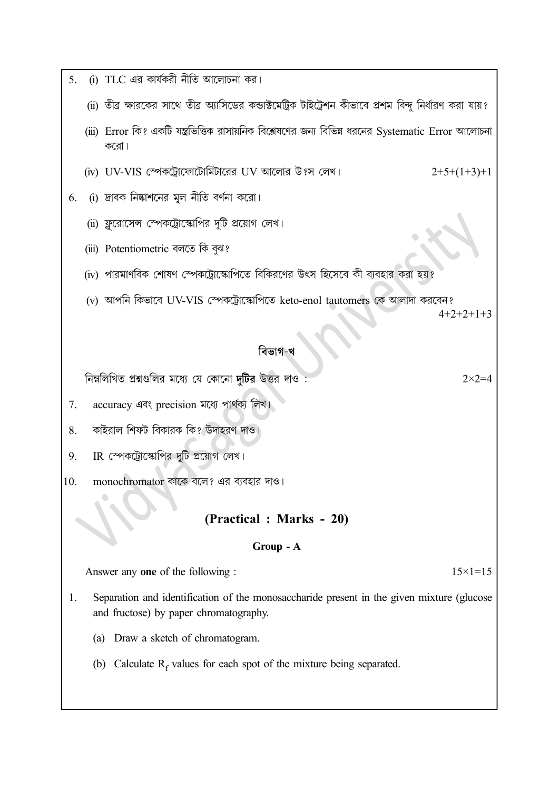- (i) TLC এর কার্যকরী নীতি আলোচনা কর।  $5<sub>1</sub>$ 
	- (ii) তীর ক্ষারকের সাথে তীর অ্যাসিডের কন্ডাক্টমেট্রিক টাইট্রেশন কীভাবে প্রশম বিন্দু নির্ধারণ করা যায়?
	- (iii) Error কি? একটি যন্ত্রভিত্তিক রাসায়নিক বিশ্লেষণের জন্য বিভিন্ন ধরনের Systematic Error আলোচনা করো।
	- (iv) UV-VIS স্পেকটোফোটোমিটারের UV আলোর উ?স লেখ।
- (i) দ্রাবক নিষ্কাশনের মূল নীতি বর্ণনা করো। 6.
	- (ii) ফ্লুরোসেন্স স্পেকট্রোস্কোপির দুটি প্রয়োগ লেখ।
	- (iii) Potentiometric বলতে কি বুঝ?
	- (iv) পারমাণবিক শোষণ স্পেকট্রোস্কোপিতে বিকিরণের উৎস হিসেবে কী ব্যবহার করা হয়?
	- (v) আপনি কিভাবে UV-VIS স্পেকট্রোস্কোপিতে keto-enol tautomers কে আলাদা করবেন?

 $4+2+2+1+3$ 

 $2+5+(1+3)+1$ 

#### বিভাগ-খ

নিম্নলিখিত প্রশ্নগুলির মধ্যে যে কোনো দুটির উত্তর দাও

 $2 \times 2 = 4$ 

- 7. accuracy এবং precision মধ্যে পার্থক্য লিখ।
- কাইরাল শিফট বিকারক কি? উদাহরণ দাও। 8.
- IR স্পেকট্রোস্কোপির দুটি প্রয়োগ লেখ। 9.
- 10. monochromator কাকে বলে? এর ব্যবহার দাও।

### (Practical: Marks - 20)

#### Group - A

Answer any one of the following :

- $15 \times 1 = 15$
- Separation and identification of the monosaccharide present in the given mixture (glucose 1. and fructose) by paper chromatography.
	- (a) Draw a sketch of chromatogram.
	- (b) Calculate  $R_f$  values for each spot of the mixture being separated.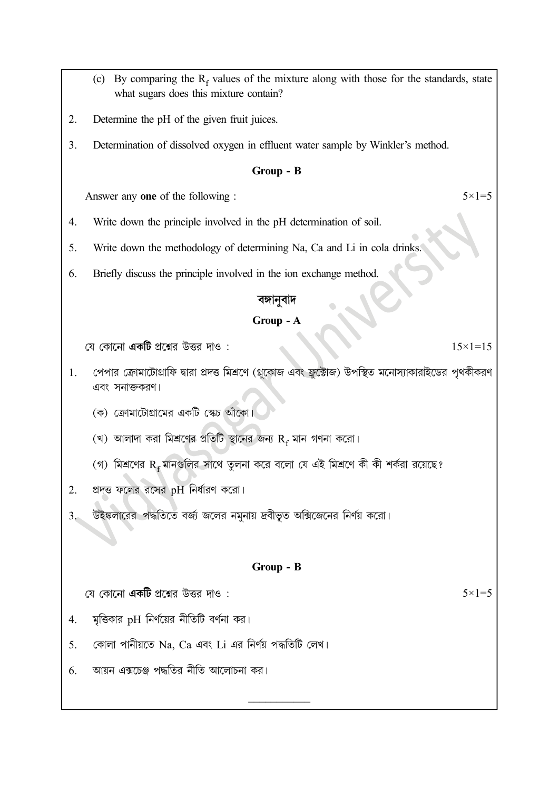(c) By comparing the  $R_f$  values of the mixture along with those for the standards, state what sugars does this mixture contain? Determine the pH of the given fruit juices.  $\overline{2}$ .  $\overline{3}$ . Determination of dissolved oxygen in effluent water sample by Winkler's method.  $Group - B$  $5 \times 1 = 5$ Answer any one of the following :  $\overline{4}$ . Write down the principle involved in the pH determination of soil.  $5.$ Write down the methodology of determining Na, Ca and Li in cola drinks. Briefly discuss the principle involved in the ion exchange method. 6. বঙ্গানবাদ Group - A যে কোনো **একটি** প্রশ্নের উত্তর দাও :  $15 \times 1 = 15$ পেপার ক্রোমাটোগ্রাফি দ্বারা প্রদত্ত মিশ্রণে (গ্লুকোজ এবং ফ্রুক্টোজ) উপস্থিত মনোস্যাকারাইডের পৃথকীকরণ 1. এবং সনাক্তকরণ। (ক) ক্রোমাটোগ্রামের একটি স্কেচ আঁকো। (খ) আলাদা করা মিশ্রণের প্রতিটি স্থানের জন্য  $R_f$  মান গণনা করো। (গ) মিশ্রণের  $R_f$ মানগুলির সাথে তুলনা করে বলো যে এই মিশ্রণে কী কী শর্করা রয়েছে?  $2.$ প্রদত্ত ফলের রসের pH নির্ধারণ করো। উইঙ্কলারের পদ্ধতিতে বর্জ জলের নমুনায় দ্রবীভূত অক্সিজেনের নির্ণয় করো।  $3<sub>o</sub>$ Group - B যে কোনো **একটি** প্রশ্নের উত্তর দাও :  $5 \times 1 = 5$ মৃত্তিকার pH নির্ণয়ের নীতিটি বর্ণনা কর।  $\overline{4}$ . 5. কোলা পানীয়তে Na. Ca এবং Li এর নির্ণয় পদ্ধতিটি লেখ। আয়ন এক্সচেঞ্জ পদ্ধতির নীতি আলোচনা কর। 6.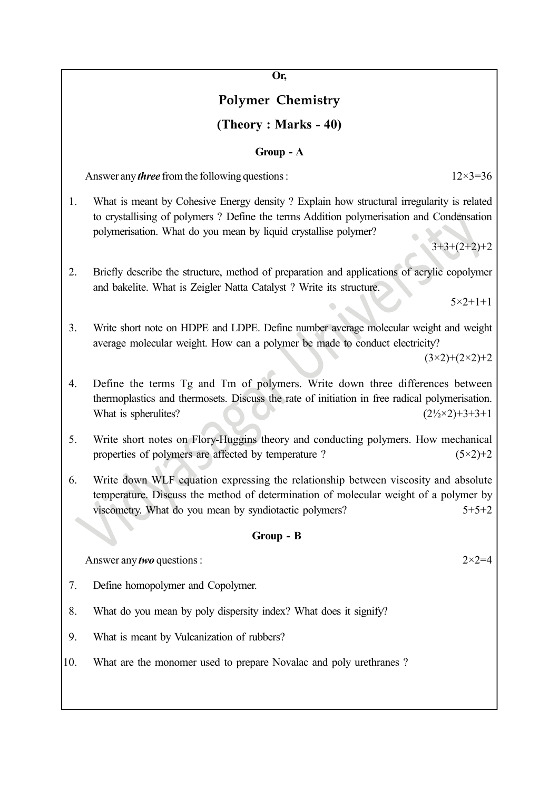Or,

# Polymer Chemistry

### (Theory : Marks - 40)

#### Group - A

Answer any *three* from the following questions :  $12\times3=36$ 

1. What is meant by Cohesive Energy density ? Explain how structural irregularity is related to crystallising of polymers ? Define the terms Addition polymerisation and Condensation polymerisation. What do you mean by liquid crystallise polymer?

 $3+3+(2+2)+2$ 

2. Briefly describe the structure, method of preparation and applications of acrylic copolymer and bakelite. What is Zeigler Natta Catalyst ? Write its structure.

 $5 \times 2 + 1 + 1$ 

3. Write short note on HDPE and LDPE. Define number average molecular weight and weight average molecular weight. How can a polymer be made to conduct electricity?

 $(3\times2)+(2\times2)+2$ 

- 4. Define the terms Tg and Tm of polymers. Write down three differences between thermoplastics and thermosets. Discuss the rate of initiation in free radical polymerisation. What is spherulites?  $(2\frac{1}{2} \times 2) + 3 + 3 + 1$
- 5. Write short notes on Flory-Huggins theory and conducting polymers. How mechanical properties of polymers are affected by temperature ?  $(5\times2)+2$
- 6. Write down WLF equation expressing the relationship between viscosity and absolute temperature. Discuss the method of determination of molecular weight of a polymer by viscometry. What do you mean by syndiotactic polymers?  $5+5+2$

### Group - B

Answer any *two* questions :  $2 \times 2 = 4$ 

- 7. Define homopolymer and Copolymer.
- 8. What do you mean by poly dispersity index? What does it signify?
- 9. What is meant by Vulcanization of rubbers?
- 10. What are the monomer used to prepare Novalac and poly urethranes ?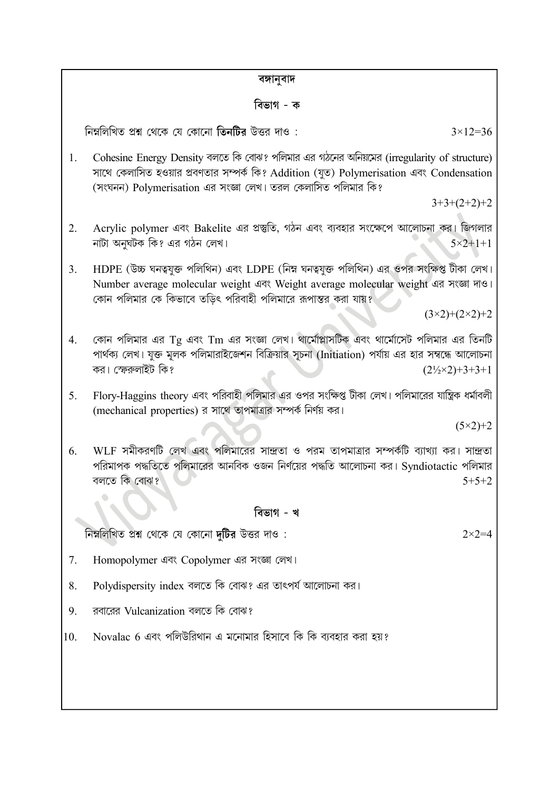#### বঙ্গানবাদ

#### বিভাগ - ক

নিম্নলিখিত প্রশ্ন থেকে যে কোনো তিনটির উত্তর দাও:

Cohesine Energy Density বলতে কি বোঝ? পলিমার এর গঠনের অনিয়মের (irregularity of structure) 1. সাথে কেলাসিত হওয়ার প্রবণতার সম্পর্ক কি? Addition (যত) Polymerisation এবং Condensation (সংঘনন) Polymerisation এর সংজ্ঞা লেখ। তরল কেলাসিত পলিমার কি?

 $3+3+(2+2)+2$ 

- Acrylic polymer এবং Bakelite এর প্রস্তুতি, গঠন এবং ব্যবহার সংক্ষেপে আলোচনা কর। জিগলার  $2.$ নাটা অনঘটক কি? এর গঠন লেখ।  $5 \times 2 + 1 + 1$
- HDPE (উচ্চ ঘনত্বযুক্ত পলিথিন) এবং LDPE (নিম্ন ঘনত্বযুক্ত পলিথিন) এর ওপর সংক্ষিপ্ত টীকা লেখ।  $3.$ Number average molecular weight এবং Weight average molecular weight এর সংজ্ঞা দাও। কোন পলিমার কে কিভাবে তড়িৎ পরিবাহী পলিমারে রূপান্তর করা যায়?

 $(3\times2)+(2\times2)+2$ 

- কোন পলিমার এর Tg এবং Tm এর সংজ্ঞা লেখ। থার্মোপ্লাসটিক এবং থার্মোসেট পলিমার এর তিনটি  $\overline{4}$ . পার্থক্য লেখ। যুক্ত মূলক পলিমারাইজেশন বিক্রিয়ার সূচনা (Initiation) পর্যায় এর হার সম্বন্ধে আলোচনা কর। স্ফেরুলাইট কি?  $(2\frac{1}{2} \times 2) + 3 + 3 + 1$
- Flory-Haggins theory এবং পরিবাহী পলিমার এর ওপর সংক্ষিপ্ত টীকা লেখ। পলিমারের যান্ত্রিক ধর্মাবলী 5. (mechanical properties) র সাথে তাপমাত্রার সম্পর্ক নির্ণয় কর।

 $(5×2)+2$ 

WLF সমীকরণটি লেখ এবং পলিমারের সান্দ্রতা ও পরম তাপমাত্রার সম্পর্কটি ব্যাখ্যা কর। সান্দ্রতা 6. পরিমাপক পদ্ধতিতে পলিমারের আনবিক ওজন নির্ণয়ের পদ্ধতি আলোচনা কর। Syndiotactic পলিমার বলতে কি বোঝ?  $5+5+2$ 

### বিভাগ - খ

নিম্নলিখিত প্রশ্ন থেকে যে কোনো দটির উত্তর দাও:

 $2 \times 2 = 4$ 

- 7. Homopolymer এবং Copolymer এর সংজ্ঞা লেখ।
- Polydispersity index বলতে কি বোঝ? এর তাৎপর্য আলোচনা কর। 8.
- রবারের Vulcanization বলতে কি বোঝ? 9.
- Novalac 6 এবং পলিউরিথান এ মনোমার হিসাবে কি কি ব্যবহার করা হয়?  $10.$

 $3 \times 12 = 36$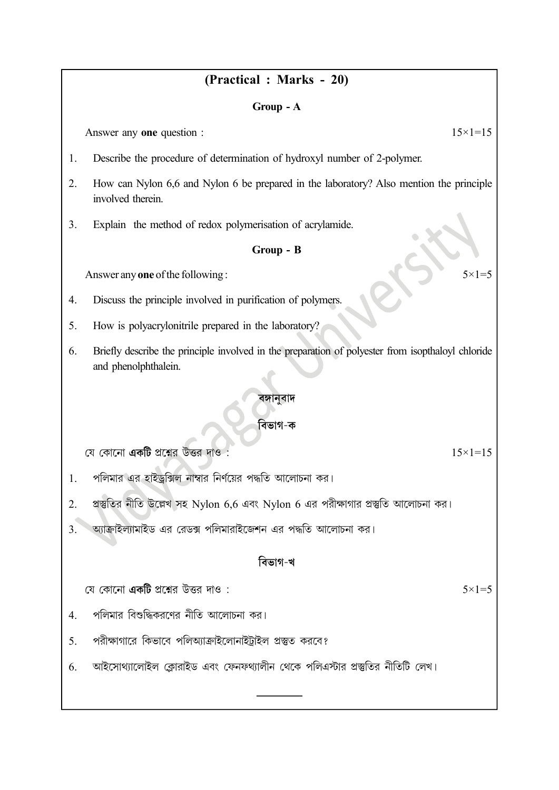## (Practical: Marks - 20)

#### Group - A

Answer any one question :

- 1. Describe the procedure of determination of hydroxyl number of 2-polymer.
- $2.$ How can Nylon 6,6 and Nylon 6 be prepared in the laboratory? Also mention the principle involved therein.
- Explain the method of redox polymerisation of acrylamide.  $\overline{3}$ .

#### Group - B

Answer any one of the following:

- Discuss the principle involved in purification of polymers. 4.
- $5<sub>1</sub>$ How is polyacrylonitrile prepared in the laboratory?
- Briefly describe the principle involved in the preparation of polyester from isopthaloyl chloride 6. and phenolphthalein.

#### বঙ্গানবাদ

### বিভাগ-ক

যে কোনো **একটি** প্রশ্নের উত্তর দাও

পলিমার এর হাইডক্সিল নাম্বার নির্ণয়ের পদ্ধতি আলোচনা কর।  $\mathbf{1}$ .

- প্রস্তুতির নীতি উল্লেখ সহ Nylon 6,6 এবং Nylon 6 এর পরীক্ষাগার প্রস্তুতি আলোচনা কর। 2.
- অ্যাক্রাইল্যামাইড এর রেডক্স পলিমারাইজেশন এর পদ্ধতি আলোচনা কর।  $\overline{3}$ .

### বিভাগ-খ

যে কোনো **একটি** প্রশ্নের উত্তর দাও:

- পলিমার বিশুদ্ধিকরণের নীতি আলোচনা কর।  $\overline{4}$ .
- 5. পরীক্ষাগারে কিভাবে পলিঅ্যাক্রাইলোনাইট্রাইল প্রস্তুত করবে?
- আইসোথ্যালোইল ক্লোরাইড এবং ফেনফথ্যালীন থেকে পলিএস্টার প্রস্তুতির নীতিটি লেখ। 6.

 $5 \times 1 = 5$ 

 $15 \times 1 = 15$ 

 $5 \times 1 = 5$ 

 $15 \times 1 = 15$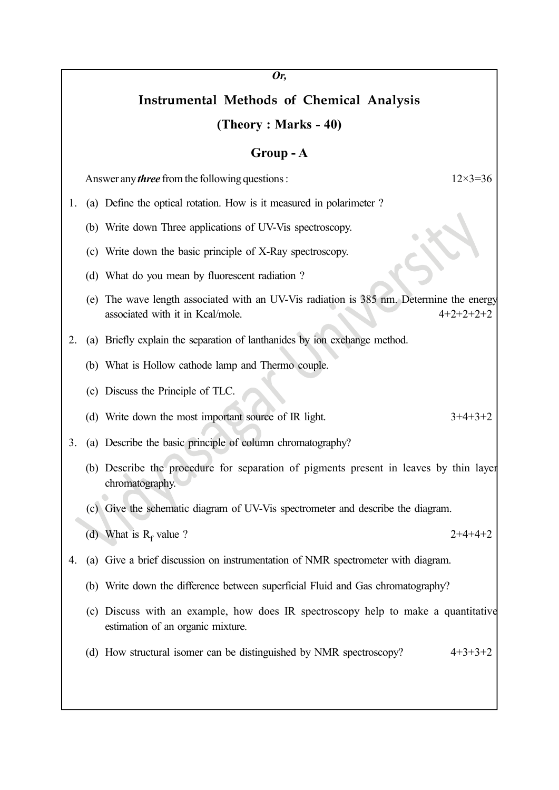# Instrumental Methods of Chemical Analysis

#### (Theory : Marks - 40)

#### Group - A

Answer any *three* from the following questions :  $12 \times 3 = 36$ 

- 1. (a) Define the optical rotation. How is it measured in polarimeter ?
	- (b) Write down Three applications of UV-Vis spectroscopy.
	- (c) Write down the basic principle of X-Ray spectroscopy.
	- (d) What do you mean by fluorescent radiation ?
	- (e) The wave length associated with an UV-Vis radiation is 385 nm. Determine the energy associated with it in Kcal/mole.  $4+2+2+2+2+2$
- 2. (a) Briefly explain the separation of lanthanides by ion exchange method.
	- (b) What is Hollow cathode lamp and Thermo couple.
	- (c) Discuss the Principle of TLC.
	- (d) Write down the most important source of IR light.  $3+4+3+2$
- 3. (a) Describe the basic principle of column chromatography?
	- (b) Describe the procedure for separation of pigments present in leaves by thin layer chromatography.
	- (c) Give the schematic diagram of UV-Vis spectrometer and describe the diagram.
	- (d) What is  $R_f$  value ? value ?  $2+4+4+2$

- 4. (a) Give a brief discussion on instrumentation of NMR spectrometer with diagram.
	- (b) Write down the difference between superficial Fluid and Gas chromatography?
	- (c) Discuss with an example, how does IR spectroscopy help to make a quantitative estimation of an organic mixture.
	- (d) How structural isomer can be distinguished by NMR spectroscopy?  $4+3+3+2$

Or,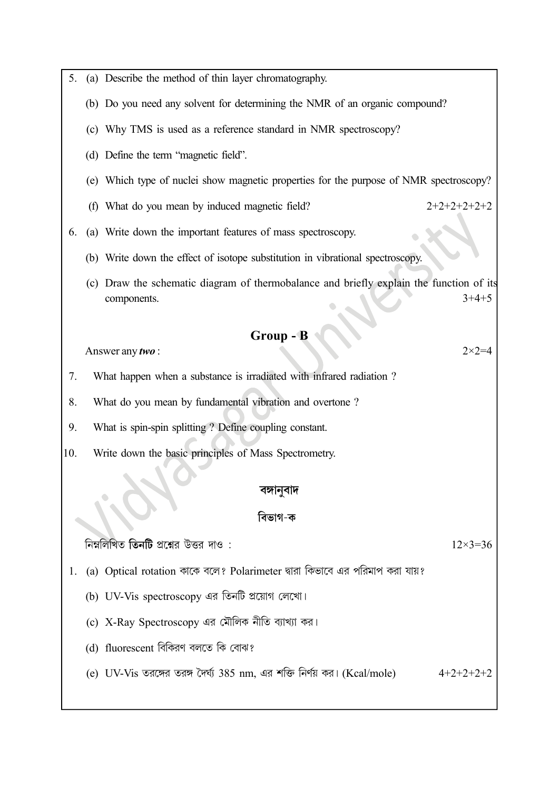| 5.  | (a) Describe the method of thin layer chromatography.                                                             |
|-----|-------------------------------------------------------------------------------------------------------------------|
|     | (b) Do you need any solvent for determining the NMR of an organic compound?                                       |
|     | (c) Why TMS is used as a reference standard in NMR spectroscopy?                                                  |
|     | (d) Define the term "magnetic field".                                                                             |
|     | (e) Which type of nuclei show magnetic properties for the purpose of NMR spectroscopy?                            |
|     | $2+2+2+2+2+2$<br>(f) What do you mean by induced magnetic field?                                                  |
| 6.  | (a) Write down the important features of mass spectroscopy.                                                       |
|     | (b) Write down the effect of isotope substitution in vibrational spectroscopy.                                    |
|     | (c) Draw the schematic diagram of thermobalance and briefly explain the function of its<br>$3+4+5$<br>components. |
|     | <b>Group - B</b>                                                                                                  |
|     | $2 \times 2 = 4$<br>Answer any two:                                                                               |
| 7.  | What happen when a substance is irradiated with infrared radiation?                                               |
| 8.  | What do you mean by fundamental vibration and overtone?                                                           |
| 9.  | What is spin-spin splitting ? Define coupling constant.                                                           |
| 10. | Write down the basic principles of Mass Spectrometry.                                                             |
|     | বঙ্গানুবাদ                                                                                                        |
|     | বিভাগ-ক                                                                                                           |
|     | নিম্নলিখিত তিনটি প্রশ্নের উত্তর দাও :<br>$12 \times 3 = 36$                                                       |
| 1.  | (a) Optical rotation কাকে বলে? Polarimeter দ্বারা কিভাবে এর পরিমাপ করা যায়?                                      |
|     | (b) UV-Vis spectroscopy এর তিনটি প্রয়োগ লেখো।                                                                    |
|     | (c) X-Ray Spectroscopy এর মৌলিক নীতি ব্যাখ্যা কর।                                                                 |
|     | (d) fluorescent বিকিরণ বলতে কি বোঝ?                                                                               |
|     | (e) UV-Vis তরঙ্গের তরঙ্গ দৈর্ঘ্য 385 nm, এর শক্তি নির্ণয় কর। (Kcal/mole)<br>$4+2+2+2+2$                          |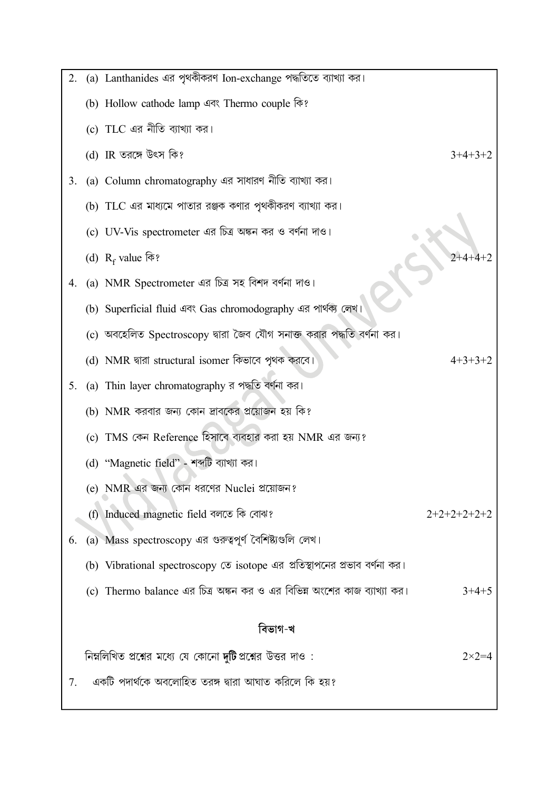| 2. | (a) Lanthanides এর পৃথকীকরণ Ion-exchange পদ্ধতিতে ব্যাখ্যা কর।             |               |
|----|----------------------------------------------------------------------------|---------------|
|    | (b) Hollow cathode lamp এবং Thermo couple কি?                              |               |
|    | (c) TLC এর নীতি ব্যাখ্যা কর।                                               |               |
|    | (d) IR তরঙ্গে উৎস কি?                                                      | $3+4+3+2$     |
| 3. | (a) Column chromatography এর সাধারণ নীতি ব্যাখ্যা কর।                      |               |
|    | (b) TLC এর মাধ্যমে পাতার রঞ্জক কণার পৃথকীকরণ ব্যাখ্যা কর।                  |               |
|    | (c) UV-Vis spectrometer এর চিত্র অঙ্কন কর ও বর্ণনা দাও।                    |               |
|    | (d) $R_f$ value कि?                                                        |               |
| 4. | (a) NMR Spectrometer এর চিত্র সহ বিশদ বর্ণনা দাও।                          |               |
|    | (b) Superficial fluid এবং Gas chromodography এর পার্থক্য লেখ।              |               |
|    | (c) অবহেলিত Spectroscopy দ্বারা জৈব যৌগ সনাক্ত করার পদ্ধতি বর্ণনা কর।      |               |
|    | (d) NMR দ্বারা structural isomer কিভাবে পৃথক করবে।                         | $4+3+3+2$     |
| 5. | (a) Thin layer chromatography র পদ্ধতি বর্ণনা কর।                          |               |
|    | (b) NMR করবার জন্য কোন দ্রাবকের প্রয়োজন হয় কি?                           |               |
|    | (c) TMS কেন Reference হিসাবে ব্যবহার করা হয় NMR এর জন্য?                  |               |
|    | (d) "Magnetic field" - শব্দটি ব্যাখ্যা কর।                                 |               |
|    | (e) NMR এর জন্য কোন ধরণের Nuclei প্রয়োজন?                                 |               |
|    | (f) Induced magnetic field বলতে কি বোঝ?                                    | $2+2+2+2+2+2$ |
| 6. | (a) Mass spectroscopy এর গুরুত্বপূর্ণ বৈশিষ্ট্যগুলি লেখ।                   |               |
|    | (b) Vibrational spectroscopy তে isotope এর প্রতিস্থাপনের প্রভাব বর্ণনা কর। |               |
|    | (c) Thermo balance এর চিত্র অঙ্কন কর ও এর বিভিন্ন অংশের কাজ ব্যাখ্যা কর।   | $3+4+5$       |
|    | বিভাগ-খ                                                                    |               |
|    | নিম্নলিখিত প্রশ্নের মধ্যে যে কোনো দুটিপ্রশ্নের উত্তর দাও :                 | $2\times2=$   |
| 7. | একটি পদার্থকে অবলোহিত তরঙ্গ দ্বারা আঘাত করিলে কি হয়?                      |               |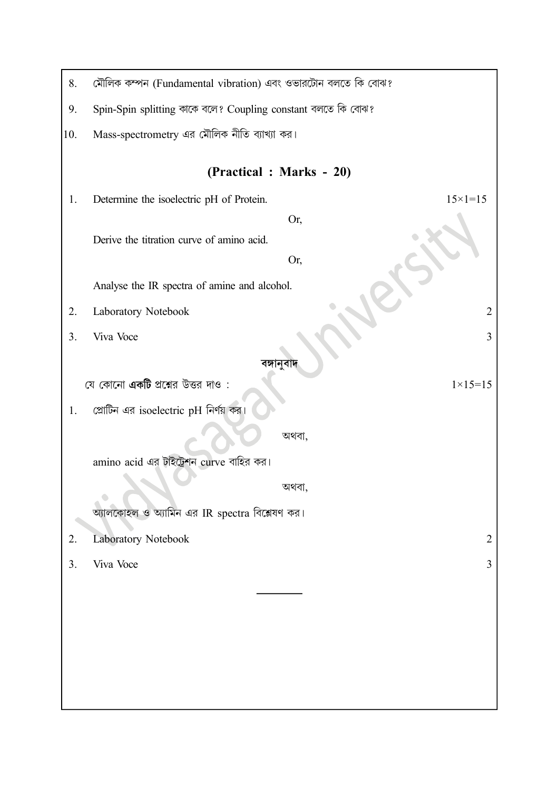| 8.  | মৌলিক কম্পন (Fundamental vibration) এবং ওভারটোন বলতে কি বোঝ?   |
|-----|----------------------------------------------------------------|
| 9.  | Spin-Spin splitting কাকে বলে? Coupling constant বলতে কি বোঝ?   |
| 10. | Mass-spectrometry এর মৌলিক নীতি ব্যাখ্যা কর।                   |
|     | (Practical: Marks - 20)                                        |
| 1.  | $15 \times 1 = 15$<br>Determine the isoelectric pH of Protein. |
|     | Or,                                                            |
|     | Derive the titration curve of amino acid.                      |
|     | Or,                                                            |
|     | Analyse the IR spectra of amine and alcohol.                   |
| 2.  | Laboratory Notebook<br>$\overline{2}$                          |
| 3.  | Viva Voce<br>3                                                 |
|     | বঙ্গানুবাদ                                                     |
|     | যে কোনো <b>একটি</b> প্রশ্নের উত্তর দাও :<br>$1 \times 15 = 15$ |
| 1.  | শ্রোটিন এর isoelectric pH নির্ণয় কর                           |
|     | অথবা,                                                          |
|     | amino acid এর টাইট্রেশন curve বাহির কর।                        |
|     | অথবা,                                                          |
|     | অ্যালকোহল ও অ্যামিন এর IR spectra বিশ্লেষণ কর।                 |
| 2.  | Laboratory Notebook<br>$\overline{2}$                          |
| 3.  | Viva Voce<br>3                                                 |
|     |                                                                |
|     |                                                                |
|     |                                                                |
|     |                                                                |
|     |                                                                |
|     |                                                                |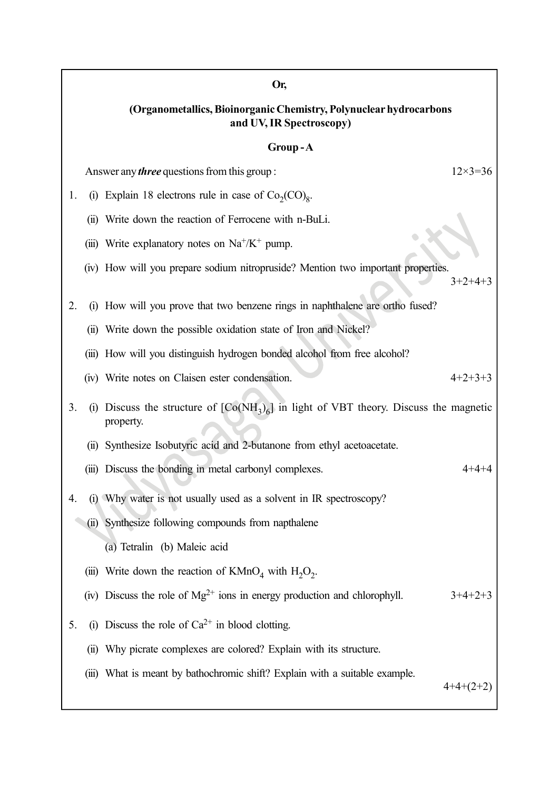# (Organometallics, Bioinorganic Chemistry, Polynuclear hydrocarbons and UV, IR Spectroscopy)

Or,

#### Group - A

|    |      | UUU                                                                                                   |                    |
|----|------|-------------------------------------------------------------------------------------------------------|--------------------|
|    |      | Answer any <i>three</i> questions from this group:                                                    | $12 \times 3 = 36$ |
| 1. |      | (i) Explain 18 electrons rule in case of $Co_2(CO)_8$ .                                               |                    |
|    |      | (ii) Write down the reaction of Ferrocene with n-BuLi.                                                |                    |
|    |      | (iii) Write explanatory notes on $Na^+/K^+$ pump.                                                     |                    |
|    |      | (iv) How will you prepare sodium nitropruside? Mention two important properties.                      | $3+2+4+3$          |
| 2. |      | (i) How will you prove that two benzene rings in naphthalene are ortho fused?                         |                    |
|    |      | (ii) Write down the possible oxidation state of Iron and Nickel?                                      |                    |
|    |      | (iii) How will you distinguish hydrogen bonded alcohol from free alcohol?                             |                    |
|    |      | (iv) Write notes on Claisen ester condensation.                                                       | $4+2+3+3$          |
| 3. |      | (i) Discuss the structure of $[Co(NH_3)_6]$ in light of VBT theory. Discuss the magnetic<br>property. |                    |
|    | (ii) | Synthesize Isobutyric acid and 2-butanone from ethyl acetoacetate.                                    |                    |
|    |      | (iii) Discuss the bonding in metal carbonyl complexes.                                                | 4+4+4              |
| 4. |      | (i) Why water is not usually used as a solvent in IR spectroscopy?                                    |                    |
|    |      | (ii) Synthesize following compounds from napthalene                                                   |                    |
|    |      | (a) Tetralin (b) Maleic acid                                                                          |                    |
|    |      | (iii) Write down the reaction of $KMnO4$ with $H2O2$ .                                                |                    |
|    |      | (iv) Discuss the role of $Mg^{2+}$ ions in energy production and chlorophyll.                         | $3+4+2+3$          |
| 5. | (i)  | Discuss the role of $Ca^{2+}$ in blood clotting.                                                      |                    |
|    | (ii) | Why picrate complexes are colored? Explain with its structure.                                        |                    |
|    |      | (iii) What is meant by bathochromic shift? Explain with a suitable example.                           | $4+4+(2+2)$        |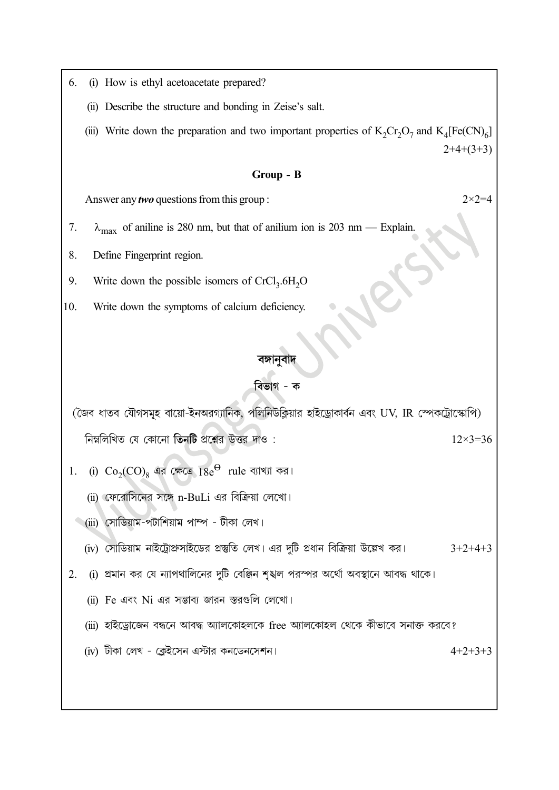- (i) How is ethyl acetoacetate prepared? 6.
	- (ii) Describe the structure and bonding in Zeise's salt.
	- (iii) Write down the preparation and two important properties of  $K_2Cr_2O_7$  and  $K_4[Fe(CN)_6]$  $2+4+(3+3)$

#### Group - B

Answer any *two* questions from this group :

- $\lambda_{\text{max}}$  of aniline is 280 nm, but that of anilium ion is 203 nm Explain. 7.
- 8. Define Fingerprint region.
- Write down the possible isomers of  $CrCl<sub>3</sub>$ .6H<sub>2</sub>O 9.
- 10. Write down the symptoms of calcium deficiency.

#### বঙ্গানুবাদ

#### বিভাগ - ক

(জৈব ধাতব যৌগসমূহ বায়ো-ইনঅরগ্যানিক, পলিনিউক্লিয়ার হাইড্রোকার্বন এবং UV, IR স্পেকট্রোস্কোপি) নিম্নলিখিত যে কোনো তিনটি প্রশ্নের উত্তর দাও:  $12\times3=36$ 

- (i)  $Co_2(CO)_8$  এর ক্ষেত্রে  $18e^{\Theta}$  rule ব্যাখ্যা কর। 1.
	- (ii) ফেরোসিনের সঙ্গে n-BuLi এর বিক্রিয়া লেখো।
	- (iii) সোডিয়াম-পটাশিয়াম পাম্প টীকা লেখ।
	- (iv) সোডিয়াম নাইট্রোপ্রুসাইডের প্রস্তুতি লেখ। এর দুটি প্রধান বিক্রিয়া উল্লেখ কর।  $3+2+4+3$
- (i) প্রমান কর যে ন্যাপথালিনের দুটি বেঞ্জিন শৃঙ্খল পরস্পর অর্থো অবস্থানে আবদ্ধ থাকে। 2.
	- (ii) Fe এবং Ni এর সম্ভাব্য জারন স্তরগুলি লেখো।
	- (iii) হাইড্রোজেন বন্ধনে আবদ্ধ অ্যালকোহলকে free অ্যালকোহল থেকে কীভাবে সনাক্ত করবে?
	- (iv) টীকা লেখ ক্লেইসেন এস্টার কনডেনসেশন।

 $4+2+3+3$ 

 $2 \times 2 = 4$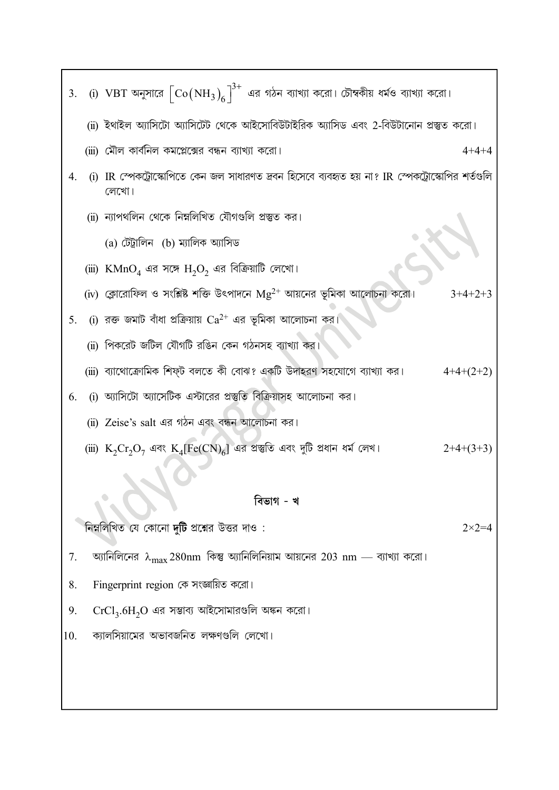|     | 3. (i) VBT অনুসারে $\left[\mathrm{Co(NH_3)}_6\right]^{3+}$ এর গঠন ব্যাখ্যা করো। চৌম্বকীয় ধর্মও ব্যাখ্যা করো। |                  |
|-----|---------------------------------------------------------------------------------------------------------------|------------------|
|     | (ii) ইথাইল অ্যাসিটো অ্যাসিটেট থেকে আইসোবিউটাইরিক অ্যাসিড এবং 2-বিউটানোন প্রস্তুত করো।                         |                  |
|     | (iii) মৌল কার্বনিল কমপ্লেক্সের বন্ধন ব্যাখ্যা করো।                                                            | $4 + 4 + 4$      |
| 4.  | (i) IR স্পেকট্রোস্কোপিতে কেন জল সাধারণত দ্রবন হিসেবে ব্যবহৃত হয় না? IR স্পেকট্রোস্কোপির শর্তগুলি<br>লেখো।    |                  |
|     | (ii) ন্যাপথলিন থেকে নিম্নলিখিত যৌগগুলি প্ৰস্তুত কর।                                                           |                  |
|     | (a) টেট্ৰালিন (b) ম্যালিক অ্যাসিড                                                                             |                  |
|     | (iii) KMnO <sub>4</sub> এর সঙ্গে H <sub>2</sub> O <sub>2</sub> এর বিক্রিয়াটি লেখো।                           |                  |
|     | (iv) ক্লোরোফিল ও সংশ্লিষ্ট শক্তি উৎপাদনে $\text{Mg}^{2+}$ আয়নের ভূমিকা আলোচনা করো।                           | $3+4+2+3$        |
| 5.  | (i) রক্ত জমাট বাঁধা প্রক্রিয়ায় ${\rm Ca^{2+}}$ এর ভূমিকা আলোচনা কর।                                         |                  |
|     | (ii) পিকরেট জটিল যৌগটি রঙিন কেন গঠনসহ ব্যাখ্যা কর।                                                            |                  |
|     | (iii) ব্যাথোক্রোমিক শিফ্ট বলতে কী বোঝ? একটি উদাহরণ সহযোগে ব্যাখ্যা কর।                                        | $4+4+(2+2)$      |
| 6.  | (i) অ্যাসিটো অ্যাসেটিক এস্টারের প্রস্তুতি বিক্রিয়াসহ আলোচনা কর।                                              |                  |
|     | (ii) Zeise's salt এর গঠন এবং বন্ধন আলোচনা কর।                                                                 |                  |
|     | (iii) $K_2Cr_2O_7$ এবং $K_4[Fe(CN)_6]$ এর প্রস্তুতি এবং দুটি প্রধান ধর্ম লেখ।                                 | $2+4+(3+3)$      |
|     |                                                                                                               |                  |
|     | বিভাগ - খ                                                                                                     |                  |
|     | নিম্নলিখিত যে কোনো দুটি প্রশ্নের উত্তর দাও :                                                                  | $2 \times 2 = 4$ |
| 7.  | অ্যানিলিনের $\lambda_{\text{max}}$ 280nm কিন্তু অ্যানিলিনিয়াম আয়নের 203 nm — ব্যাখ্যা করো।                  |                  |
| 8.  | Fingerprint region কে সংজ্ঞায়িত করো।                                                                         |                  |
| 9.  | $CrCl3.6H2O$ এর সম্ভাব্য আইসোমারগুলি অঙ্কন করো।                                                               |                  |
| 10. | ক্যালসিয়ামের অভাবজনিত লক্ষণগুলি লেখো।                                                                        |                  |
|     |                                                                                                               |                  |
|     |                                                                                                               |                  |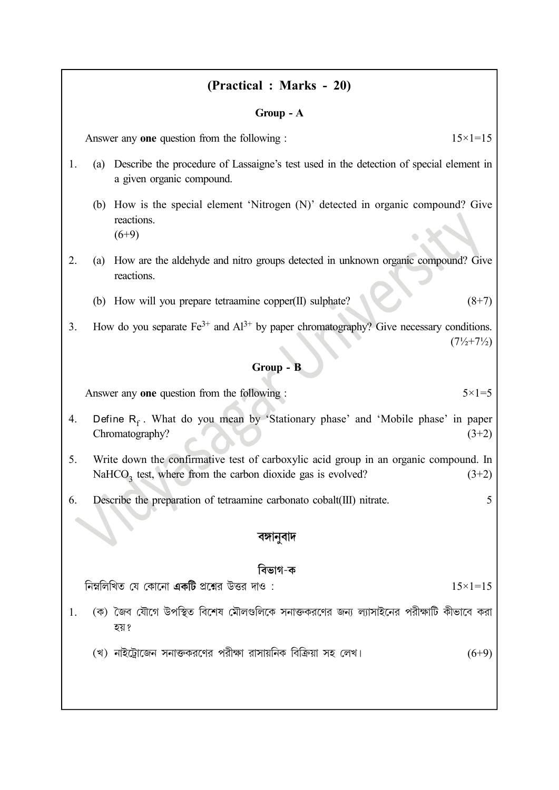### (Practical : Marks - 20)

#### Group - A

Answer any one question from the following :  $15 \times 1 = 15$ 

- 1. (a) Describe the procedure of Lassaigne's test used in the detection of special element in a given organic compound.
	- (b) How is the special element 'Nitrogen (N)' detected in organic compound? Give reactions.  $(6+9)$
- 2. (a) How are the aldehyde and nitro groups detected in unknown organic compound? Give reactions.
	- (b) How will you prepare tetraamine copper(II) sulphate?  $(8+7)$
- 3. How do you separate  $Fe^{3+}$  and  $Al^{3+}$  by paper chromatography? Give necessary conditions.  $(7\frac{1}{2} + 7\frac{1}{2})$

#### Group - B

Answer any one question from the following :  $5 \times 1 = 5$ 

- 4. Define  $R_f$ . What do you mean by 'Stationary phase' and 'Mobile phase' in paper Chromatography? (3+2)
- 5. Write down the confirmative test of carboxylic acid group in an organic compound. In NaHCO<sub>3</sub> test, where from the carbon dioxide gas is evolved?  $(3+2)$
- 6. Describe the preparation of tetraamine carbonato cobalt(III) nitrate. 5

#### বঙ্গানুবাদ

#### বিভাগ-ক

নিম্নলিখিত যে কোনো **একটি** প্রশ্নের উত্তর দাও :

- 1. (ক) জৈব যৌগে উপস্থিত বিশেষ মৌলগুলিকে সনাক্তকরণের জন্য ল্যাসাইনের পরীক্ষাটি কীভাবে করা হয় ?
	- (খ) নাইটোজেন সনাক্তকরণের পরীক্ষা রাসায়নিক বিক্রিয়া সহ লেখ। (6+9)

 $15\times1=15$